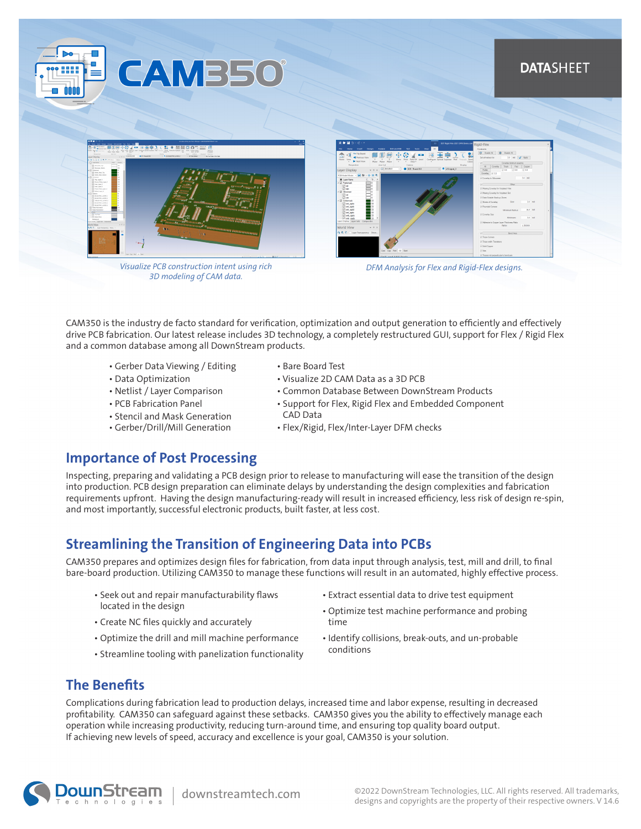### **DATASHEET**



**CAMB50** 

*Visualize PCB construction intent using rich 3D modeling of CAM data.*



*DFM Analysis for Flex and Rigid-Flex designs.*

CAM350 is the industry de facto standard for verification, optimization and output generation to efficiently and effectively drive PCB fabrication. Our latest release includes 3D technology, a completely restructured GUI, support for Flex / Rigid Flex and a common database among all DownStream products.

- Gerber Data Viewing / Editing
- Data Optimization
- Netlist / Layer Comparison
- PCB Fabrication Panel
- Stencil and Mask Generation
- Gerber/Drill/Mill Generation
- Bare Board Test
- Visualize 2D CAM Data as a 3D PCB
- Common Database Between DownStream Products
- Support for Flex, Rigid Flex and Embedded Component CAD Data
- Flex/Rigid, Flex/Inter-Layer DFM checks

### **Importance of Post Processing**

Inspecting, preparing and validating a PCB design prior to release to manufacturing will ease the transition of the design into production. PCB design preparation can eliminate delays by understanding the design complexities and fabrication requirements upfront. Having the design manufacturing-ready will result in increased efficiency, less risk of design re-spin, and most importantly, successful electronic products, built faster, at less cost.

### **Streamlining the Transition of Engineering Data into PCBs**

CAM350 prepares and optimizes design files for fabrication, from data input through analysis, test, mill and drill, to final bare-board production. Utilizing CAM350 to manage these functions will result in an automated, highly effective process.

- Seek out and repair manufacturability flaws located in the design
- Create NC files quickly and accurately
- Optimize the drill and mill machine performance
- Streamline tooling with panelization functionality
- Extract essential data to drive test equipment
- Optimize test machine performance and probing time
- Identify collisions, break-outs, and un-probable conditions

## **The Benefits**

Complications during fabrication lead to production delays, increased time and labor expense, resulting in decreased profitability. CAM350 can safeguard against these setbacks. CAM350 gives you the ability to effectively manage each operation while increasing productivity, reducing turn-around time, and ensuring top quality board output. If achieving new levels of speed, accuracy and excellence is your goal, CAM350 is your solution.